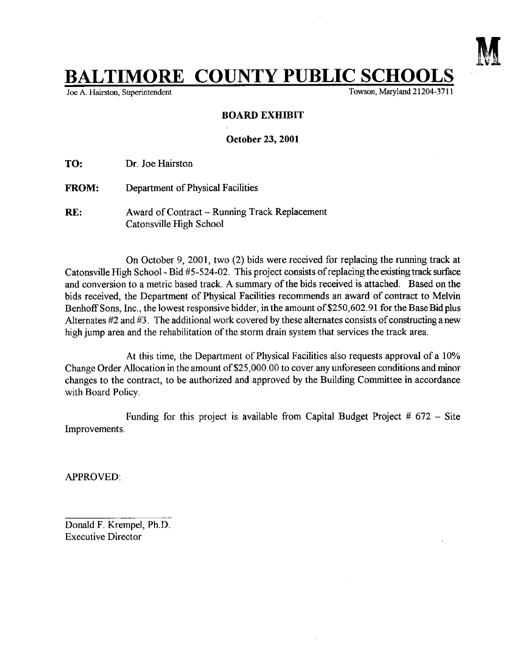

## $L$ TIMORE COUNTY PUBLIC SCHOOLS

Joe A. Hairston, Superintendent

## BOARD EXHIBIT

October 23, 2001

TO: Dr. Joe Hairston

- FROM: Department of Physical Facilities
- RE: Award of Contract Running Track Replacement Catonsville High School

On October 9, 2001, two (2) bids were received for replacing the running track at Catonsville High School - Bid #5-524-02. This project consists of replacing the existing track surface and conversion to a metric based track. A summary of the bids received is attached. Based on the bids received, the Department of Physical Facilities recommends an award of contract to Melvin Benhoff Sons, Inc., the lowest responsive bidder, in the amount of \$250,602.91 for the Base Bid plus Alternates  $#2$  and  $#3$ . The additional work covered by these alternates consists of constructing a new high jump area and the rehabilitation of the storm drain system that services the track area.

At this time, the Department of Physical Facilities also requests approval of a 10% Change Order Allocation in the amount of \$25,000.00 to cover any unforeseen conditions and minor changes to the contract, to be authorized and approved by the Building Committee in accordance with Board Policy.

Improvements . Funding for this project is available from Capital Budget Project  $# 672 -$  Site

APPROVED :

Donald F. Krempel, Ph.D. Executive Director